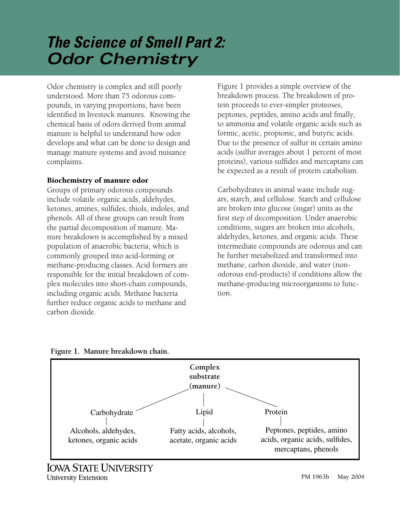# *The Science of Smell Part 2: Odor Chemistry*

Odor chemistry is complex and still poorly understood. More than 75 odorous compounds, in varying proportions, have been identified in livestock manures. Knowing the chemical basis of odors derived from animal manure is helpful to understand how odor develops and what can be done to design and manage manure systems and avoid nuisance complaints.

# Biochemistry of manure odor

Groups of primary odorous compounds include volatile organic acids, aldehydes, ketones, amines, sulfides, thiols, indoles, and phenols. All of these groups can result from the partial decomposition of manure. Manure breakdown is accomplished by a mixed population of anaerobic bacteria, which is commonly grouped into acid-forming or methane-producing classes. Acid formers are responsible for the initial breakdown of complex molecules into short-chain compounds, including organic acids. Methane bacteria further reduce organic acids to methane and carbon dioxide.

Figure 1 provides a simple overview of the breakdown process. The breakdown of protein proceeds to ever-simpler proteoses, peptones, peptides, amino acids and finally, to ammonia and volatile organic acids such as formic, acetic, propionic, and butyric acids. Due to the presence of sulfur in certain amino acids (sulfur averages about 1 percent of most proteins), various sulfides and mercaptans can be expected as a result of protein catabolism.

Carbohydrates in animal waste include sugars, starch, and cellulose. Starch and cellulose are broken into glucose (sugar) units as the first step of decomposition. Under anaerobic conditions, sugars are broken into alcohols, aldehydes, ketones, and organic acids. These intermediate compounds are odorous and can be further metabolized and transformed into methane, carbon dioxide, and water (nonodor ous end-products) if conditions allow the methane-producing microorganisms to function.



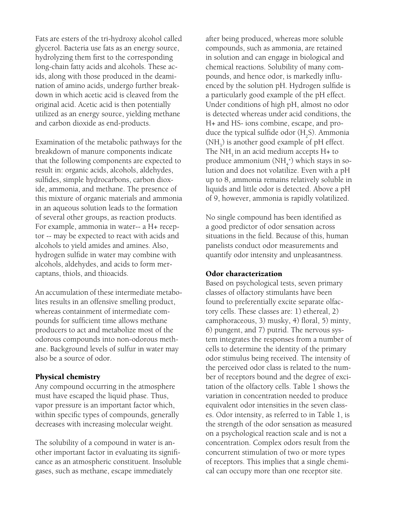Fats are esters of the tri-hydroxy alcohol called glycerol. Bacteria use fats as an energy source, hydrolyzing them first to the corresponding long-chain fatty acids and alcohols. These acids, along with those produced in the deamination of amino acids, undergo further breakdown in which acetic acid is cleaved from the original acid. Acetic acid is then potentially utilized as an energy source, yielding methane and carbon dioxide as end-products.

Examination of the metabolic pathways for the breakdown of manure components indicate that the following components are expected to result in: organic acids, alcohols, aldehydes, sulfides, simple hydrocarbons, carbon dioxide, ammonia, and methane. The presence of this mixture of organic materials and ammonia in an aqueous solution leads to the formation of several other groups, as reaction products. For example, ammonia in water-- a H+ receptor -- may be expected to react with acids and alcohols to yield amides and amines. Also, hydrogen sulfide in water may combine with alcohols, aldehydes, and acids to form mercaptans, thiols, and thioacids.

An accumulation of these intermediate metabolites results in an offensive smelling product, whereas containment of intermediate compounds for sufficient time allows methane producers to act and metabolize most of the odorous compounds into non-odorous methane. Background levels of sulfur in water may also be a source of odor.

### Physical chemistry

Any compound occurring in the atmosphere must have escaped the liquid phase. Thus, vapor pressure is an important factor which, within specific types of compounds, generally decreases with increasing molecular weight.

The solubility of a compound in water is another important factor in evaluating its significance as an atmospheric constituent. Insoluble gases, such as methane, escape immediately

after being produced, whereas more soluble compounds, such as ammonia, are retained in solution and can engage in biological and chemical reactions. Solubility of many compounds, and hence odor, is markedly influenced by the solution pH. Hydrogen sulfide is a particularly good example of the pH effect. Under conditions of high pH, almost no odor is detected whereas under acid conditions, the H+ and HS- ions combine, escape, and produce the typical sulfide odor  $(H_2S)$ . Ammonia  $(\text{NH}_3)$  is another good example of pH effect. The  $NH<sub>3</sub>$  in an acid medium accepts H+ to produce ammonium  $\left(\mathrm{NH}_4^+\right)$  which stays in solution and does not volatilize. Even with a pH up to 8, ammonia remains relatively soluble in liquids and little odor is detected. Above a pH of 9, however, ammonia is rapidly volatilized.

No single compound has been identified as a good predictor of odor sensation across situations in the field. Because of this, human panelists conduct odor measurements and quantify odor intensity and unpleasantness.

#### Odor characterization

Based on psychological tests, seven primary classes of olfactory stimulants have been found to preferentially excite separate olfactory cells. These classes are: 1) ethereal, 2) camphoraceous, 3) musky, 4) floral, 5) minty, 6) pungent, and 7) putrid. The nervous system integrates the responses from a number of cells to determine the identity of the primary odor stimulus being received. The intensity of the perceived odor class is related to the number of receptors bound and the degree of excitation of the olfactory cells. Table 1 shows the variation in concentration needed to produce equivalent odor intensities in the seven classes. Odor intensity, as referred to in Table 1, is the strength of the odor sensation as measured on a psychological reaction scale and is not a concentration. Complex odors result from the concurrent stimulation of two or more types of receptors. This implies that a single chemical can occupy more than one receptor site.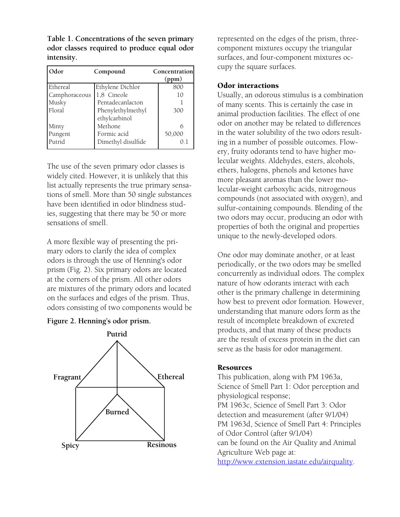**Table 1. Concentrations of the seven primary odor classes required to produce equal odor intensity.** 

| Odor          | Compound           | Concentration<br>(ppm) |
|---------------|--------------------|------------------------|
| Ethereal      | Ethylene Dichlor   | 800                    |
| Camphoraceous | 1,8 Cineole        | 10                     |
| Musky         | Pentadecanlacton   |                        |
| Floral        | Phenylethylmethyl  | 300                    |
|               | ethylcarbinol      |                        |
| Minty         | Methone            | 6                      |
| Pungent       | Formic acid        | 50,000                 |
| Putrid        | Dimethyl disulfide | 0.1                    |

The use of the seven primary odor classes is widely cited. However, it is unlikely that this list actually represents the true primary sensations of smell. More than 50 single substances have been identified in odor blindness studies, suggesting that there may be 50 or more sensations of smell.

A more flexible way of presenting the primary odors to clarify the idea of complex odors is through the use of Henning's odor prism (Fig. 2). Six primary odors are located at the corners of the prism. All other odors are mixtures of the primary odors and located on the surfaces and edges of the prism. Thus, odors consisting of two components would be





represented on the edges of the prism, threecomponent mixtures occupy the triangular surfaces, and four-component mixtures occupy the square surfaces.

# Odor interactions

Usually, an odorous stimulus is a combination of many scents. This is certainly the case in animal production facilities. The effect of one odor on another may be related to differences in the water solubility of the two odors resulting in a number of possible outcomes. Flowery, fruity odorants tend to have higher molecular weights. Aldehydes, esters, alcohols, ethers, halogens, phenols and ketones have more pleasant aromas than the lower molecular-weight carboxylic acids, nitrogenous compounds (not associated with oxygen), and sulfur-containing compounds. Blending of the two odors may occur, producing an odor with properties of both the original and properties unique to the newly-developed odors.

One odor may dominate another, or at least periodically, or the two odors may be smelled concurrently as individual odors. The complex nature of how odorants interact with each other is the primary challenge in determining how best to prevent odor formation. However, understanding that manure odors form as the result of incomplete breakdown of excreted products, and that many of these products are the result of excess protein in the diet can serve as the basis for odor management.

## Resources

This publication, along with PM 1963a, Science of Smell Part 1: Odor perception and physiological response; PM 1963c, Science of Smell Part 3: Odor detection and measurement (after 9/1/04) PM 1963d, Science of Smell Part 4: Principles of Odor Control (after 9/1/04) can be found on the Air Quality and Animal Agriculture Web page at: <http://www.extension.iastate.edu/airquality>.